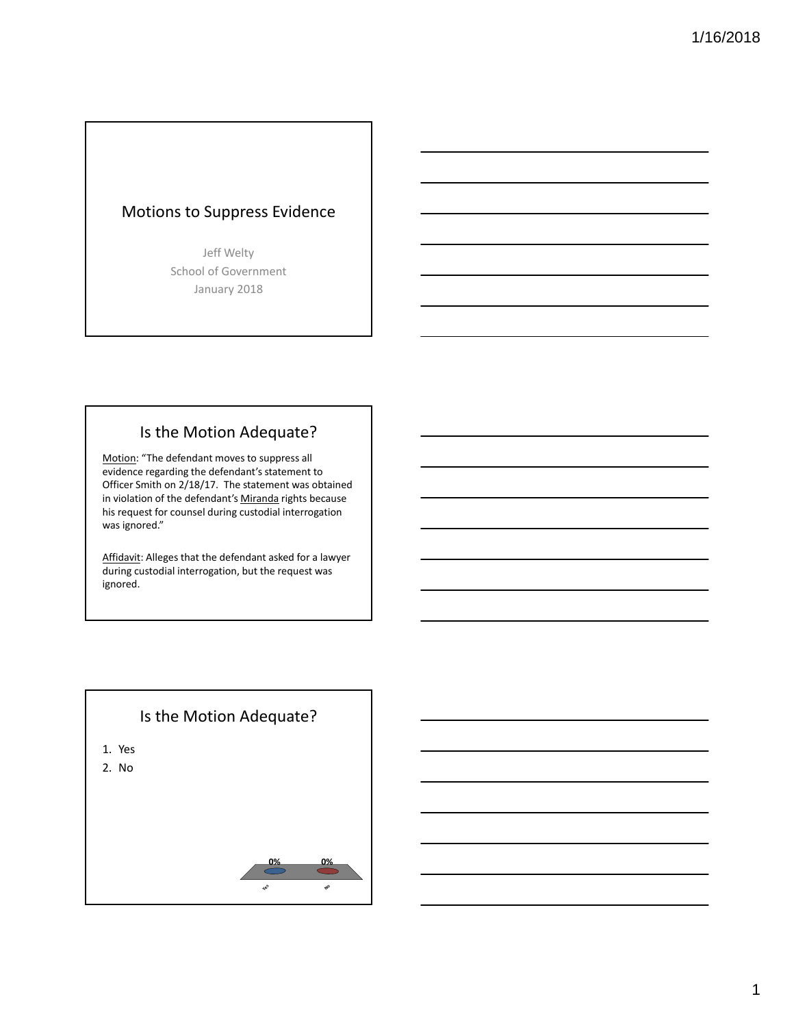# Motions to Suppress Evidence

Jeff Welty School of Government January 2018

## Is the Motion Adequate?

Motion: "The defendant moves to suppress all evidence regarding the defendant's statement to Officer Smith on 2/18/17. The statement was obtained in violation of the defendant's Miranda rights because his request for counsel during custodial interrogation was ignored."

Affidavit: Alleges that the defendant asked for a lawyer during custodial interrogation, but the request was ignored.

#### Is the Motion Adequate?

- 1. Yes
- 2. No

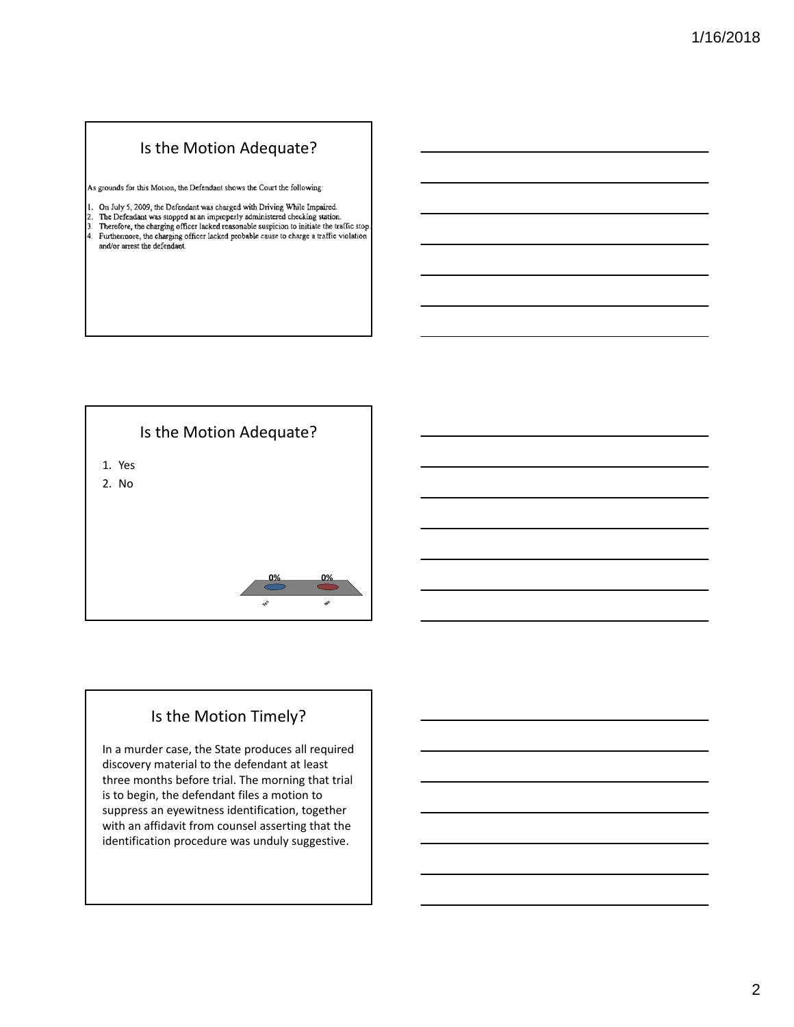## Is the Motion Adequate?

As grounds for this Motion, the Defendant shows the Court the following:

- 
- 1. On July 5, 2009, the Defendant was charged with Driving While Impaired.<br>2. The Defendant was stopped at an improperly administered checking station.<br>3. Therefore, the charging officer lacked reasonable suspicion to init
- 4. Furthermore, the charging officer lacked probable cause to charge a traffic violation and/or arrest the defendant.



# Is the Motion Timely?

**Yes**

**No**

**0% 0%**

In a murder case, the State produces all required discovery material to the defendant at least three months before trial. The morning that trial is to begin, the defendant files a motion to suppress an eyewitness identification, together with an affidavit from counsel asserting that the identification procedure was unduly suggestive.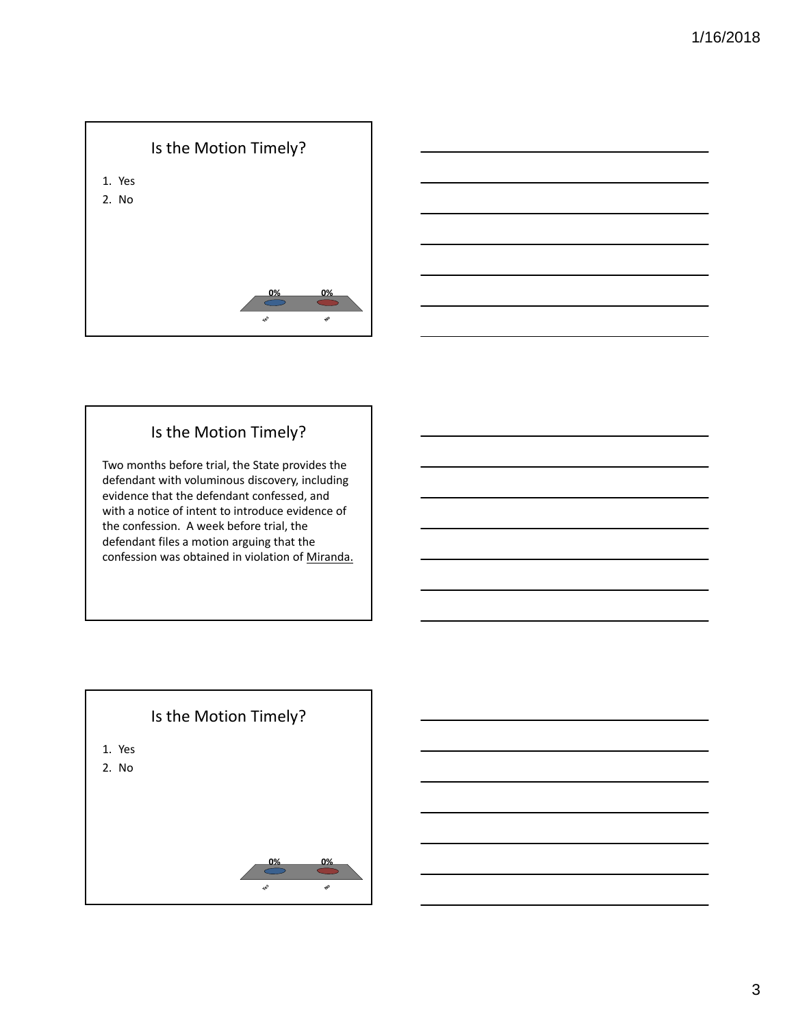



# Is the Motion Timely?

Two months before trial, the State provides the defendant with voluminous discovery, including evidence that the defendant confessed, and with a notice of intent to introduce evidence of the confession. A week before trial, the defendant files a motion arguing that the confession was obtained in violation of Miranda.

# Is the Motion Timely?

- 1. Yes
- 2. No

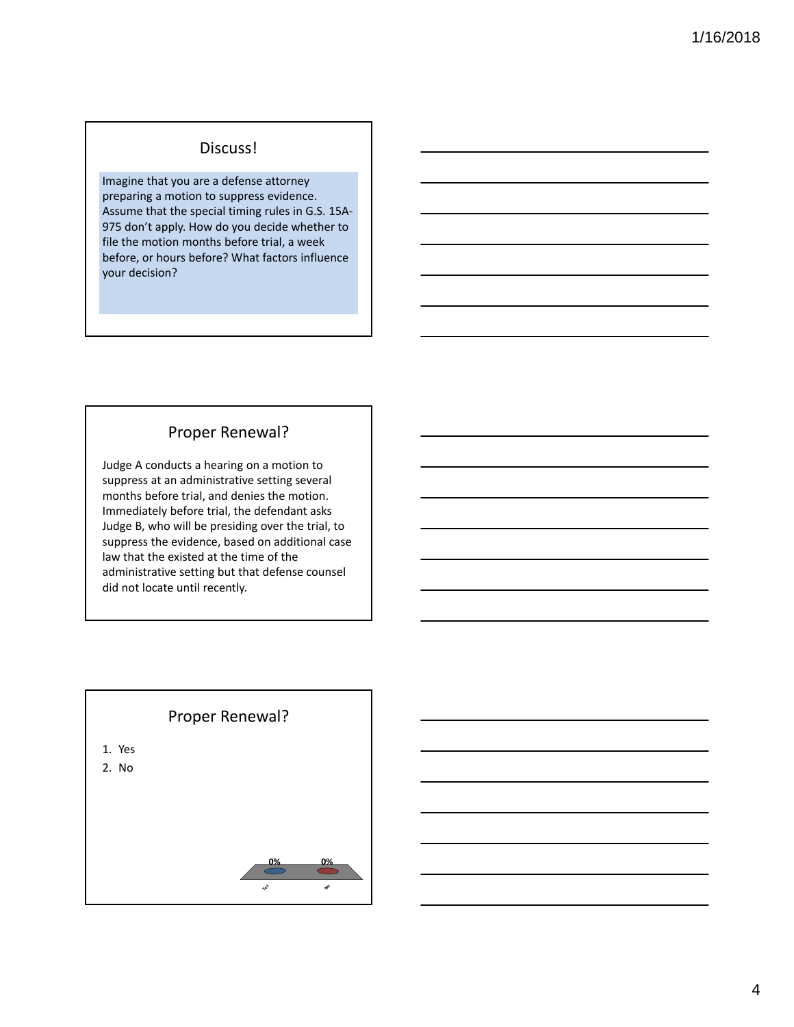#### Discuss!

Imagine that you are a defense attorney preparing a motion to suppress evidence. Assume that the special timing rules in G.S. 15A‐ 975 don't apply. How do you decide whether to file the motion months before trial, a week before, or hours before? What factors influence your decision?

#### Proper Renewal?

Judge A conducts a hearing on a motion to suppress at an administrative setting several months before trial, and denies the motion. Immediately before trial, the defendant asks Judge B, who will be presiding over the trial, to suppress the evidence, based on additional case law that the existed at the time of the administrative setting but that defense counsel did not locate until recently.

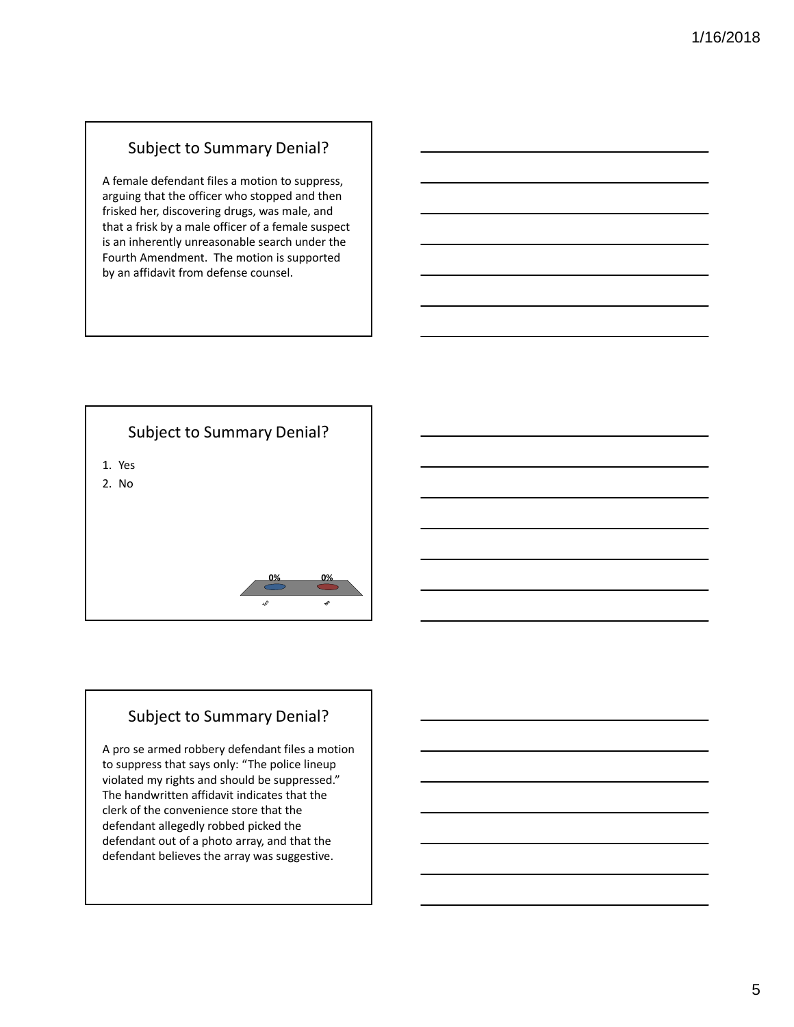#### Subject to Summary Denial?

A female defendant files a motion to suppress, arguing that the officer who stopped and then frisked her, discovering drugs, was male, and that a frisk by a male officer of a female suspect is an inherently unreasonable search under the Fourth Amendment. The motion is supported by an affidavit from defense counsel.

# Subject to Summary Denial? **Yes No 0% 0%** 1. Yes 2. No

# Subject to Summary Denial?

A pro se armed robbery defendant files a motion to suppress that says only: "The police lineup violated my rights and should be suppressed." The handwritten affidavit indicates that the clerk of the convenience store that the defendant allegedly robbed picked the defendant out of a photo array, and that the defendant believes the array was suggestive.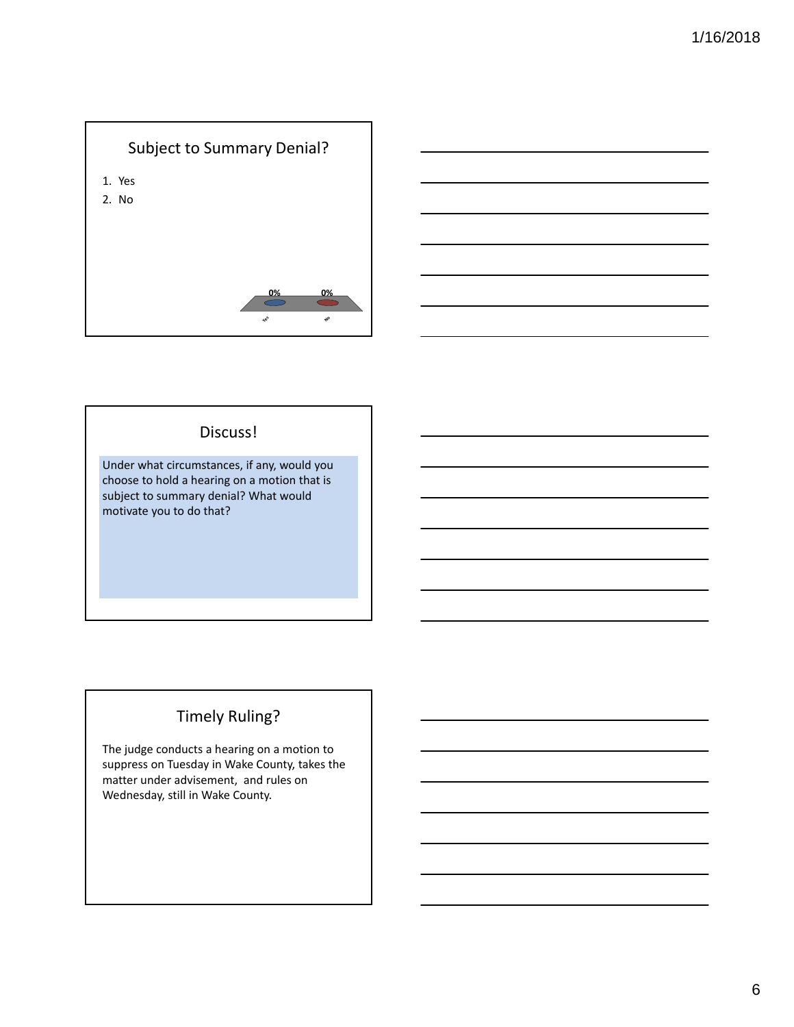



#### Discuss!

Under what circumstances, if any, would you choose to hold a hearing on a motion that is subject to summary denial? What would motivate you to do that?

# Timely Ruling?

The judge conducts a hearing on a motion to suppress on Tuesday in Wake County, takes the matter under advisement, and rules on Wednesday, still in Wake County.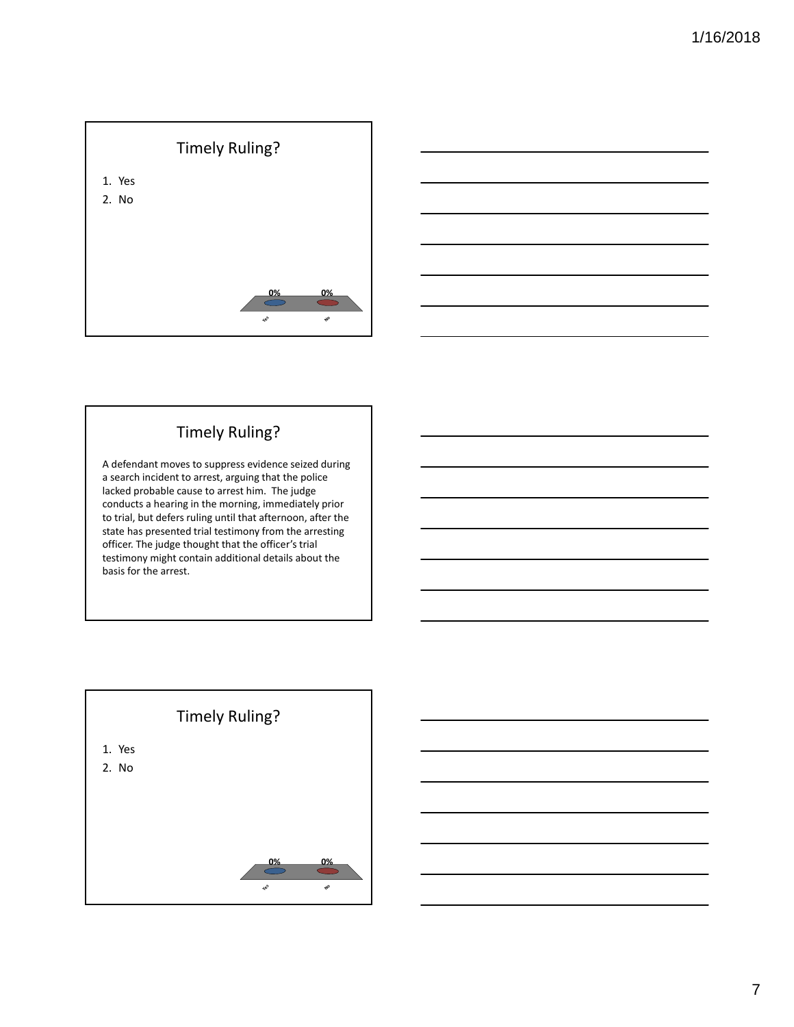



# Timely Ruling?

A defendant moves to suppress evidence seized during a search incident to arrest, arguing that the police lacked probable cause to arrest him. The judge conducts a hearing in the morning, immediately prior to trial, but defers ruling until that afternoon, after the state has presented trial testimony from the arresting officer. The judge thought that the officer's trial testimony might contain additional details about the basis for the arrest.

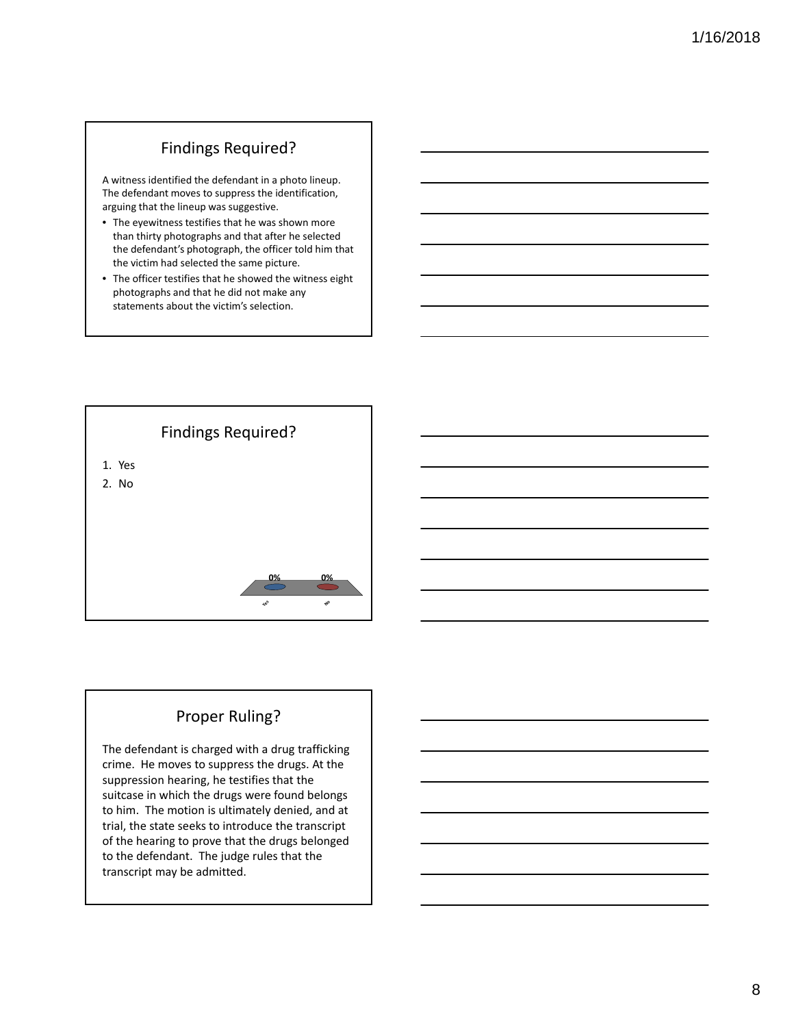# Findings Required?

A witness identified the defendant in a photo lineup. The defendant moves to suppress the identification, arguing that the lineup was suggestive.

- The eyewitness testifies that he was shown more than thirty photographs and that after he selected the defendant's photograph, the officer told him that the victim had selected the same picture.
- The officer testifies that he showed the witness eight photographs and that he did not make any statements about the victim's selection.



# Proper Ruling?

The defendant is charged with a drug trafficking crime. He moves to suppress the drugs. At the suppression hearing, he testifies that the suitcase in which the drugs were found belongs to him. The motion is ultimately denied, and at trial, the state seeks to introduce the transcript of the hearing to prove that the drugs belonged to the defendant. The judge rules that the transcript may be admitted.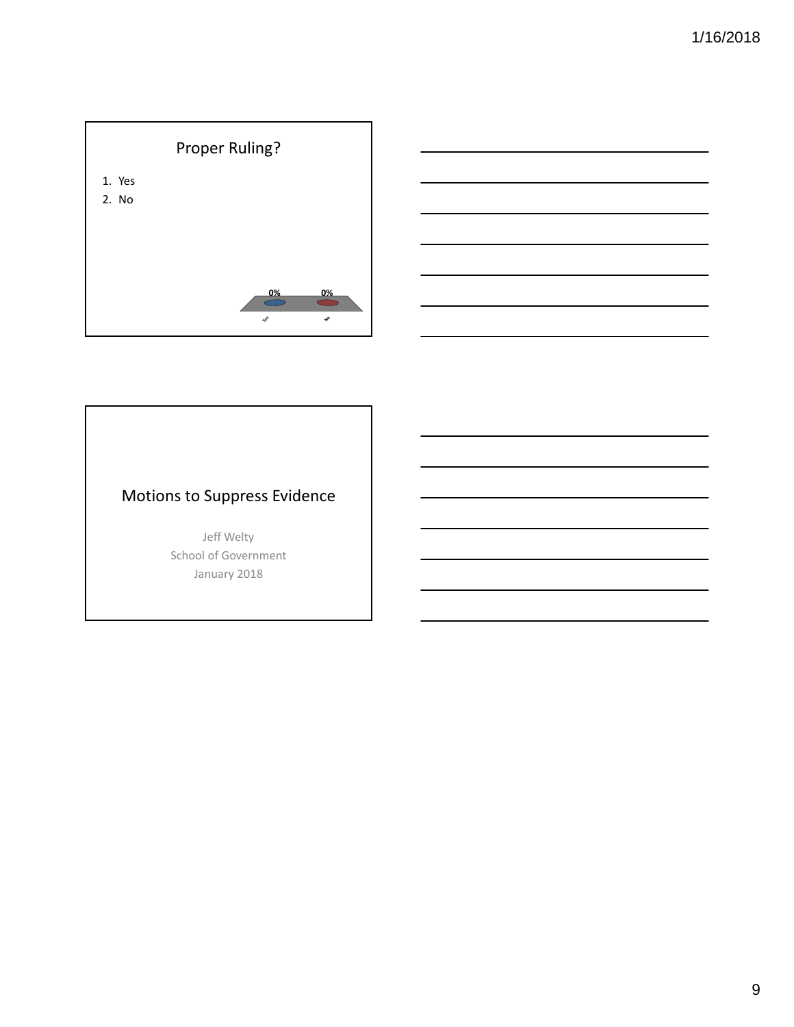



# Motions to Suppress Evidence

Jeff Welty School of Government January 2018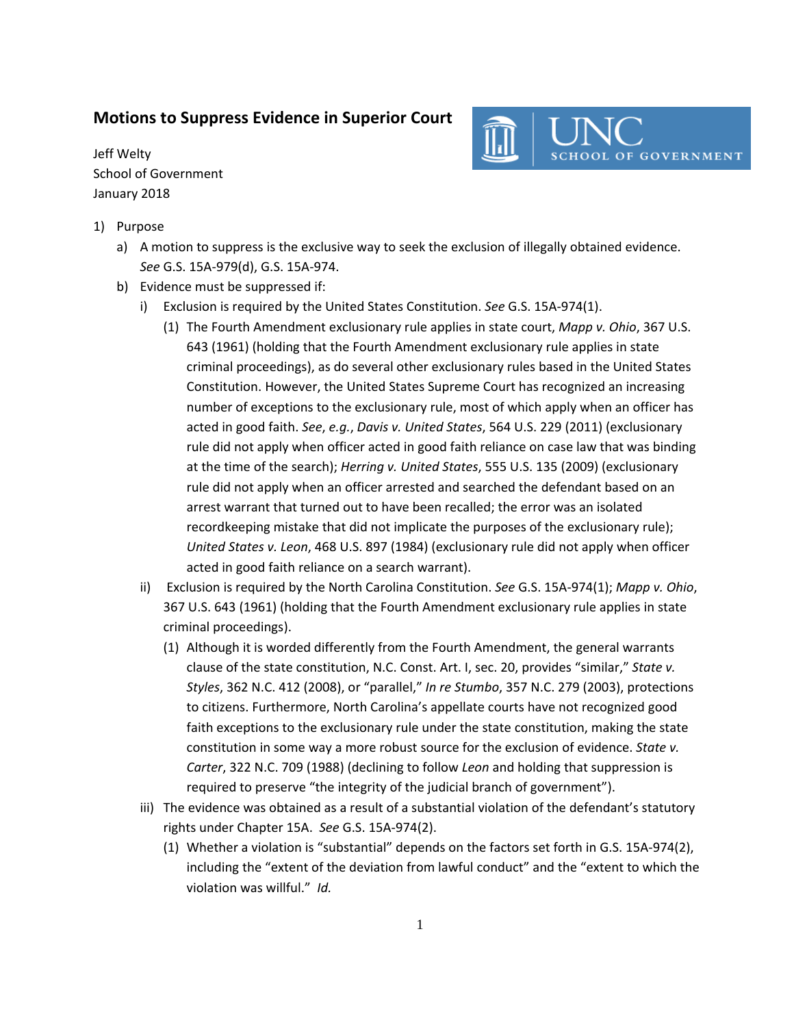#### **Motions to Suppress Evidence in Superior Court**

Jeff Welty School of Government January 2018



- 1) Purpose
	- a) A motion to suppress is the exclusive way to seek the exclusion of illegally obtained evidence. *See* G.S. 15A‐979(d), G.S. 15A‐974.
	- b) Evidence must be suppressed if:
		- i) Exclusion is required by the United States Constitution. *See* G.S. 15A‐974(1).
			- (1) The Fourth Amendment exclusionary rule applies in state court, *Mapp v. Ohio*, 367 U.S. 643 (1961) (holding that the Fourth Amendment exclusionary rule applies in state criminal proceedings), as do several other exclusionary rules based in the United States Constitution. However, the United States Supreme Court has recognized an increasing number of exceptions to the exclusionary rule, most of which apply when an officer has acted in good faith. *See*, *e.g.*, *Davis v. United States*, 564 U.S. 229 (2011) (exclusionary rule did not apply when officer acted in good faith reliance on case law that was binding at the time of the search); *Herring v. United States*, 555 U.S. 135 (2009) (exclusionary rule did not apply when an officer arrested and searched the defendant based on an arrest warrant that turned out to have been recalled; the error was an isolated recordkeeping mistake that did not implicate the purposes of the exclusionary rule); *United States v. Leon*, 468 U.S. 897 (1984) (exclusionary rule did not apply when officer acted in good faith reliance on a search warrant).
		- ii) Exclusion is required by the North Carolina Constitution. *See* G.S. 15A‐974(1); *Mapp v. Ohio*, 367 U.S. 643 (1961) (holding that the Fourth Amendment exclusionary rule applies in state criminal proceedings).
			- (1) Although it is worded differently from the Fourth Amendment, the general warrants clause of the state constitution, N.C. Const. Art. I, sec. 20, provides "similar," *State v. Styles*, 362 N.C. 412 (2008), or "parallel," *In re Stumbo*, 357 N.C. 279 (2003), protections to citizens. Furthermore, North Carolina's appellate courts have not recognized good faith exceptions to the exclusionary rule under the state constitution, making the state constitution in some way a more robust source for the exclusion of evidence. *State v. Carter*, 322 N.C. 709 (1988) (declining to follow *Leon* and holding that suppression is required to preserve "the integrity of the judicial branch of government").
		- iii) The evidence was obtained as a result of a substantial violation of the defendant's statutory rights under Chapter 15A. *See* G.S. 15A‐974(2).
			- (1) Whether a violation is "substantial" depends on the factors set forth in G.S. 15A‐974(2), including the "extent of the deviation from lawful conduct" and the "extent to which the violation was willful." *Id.*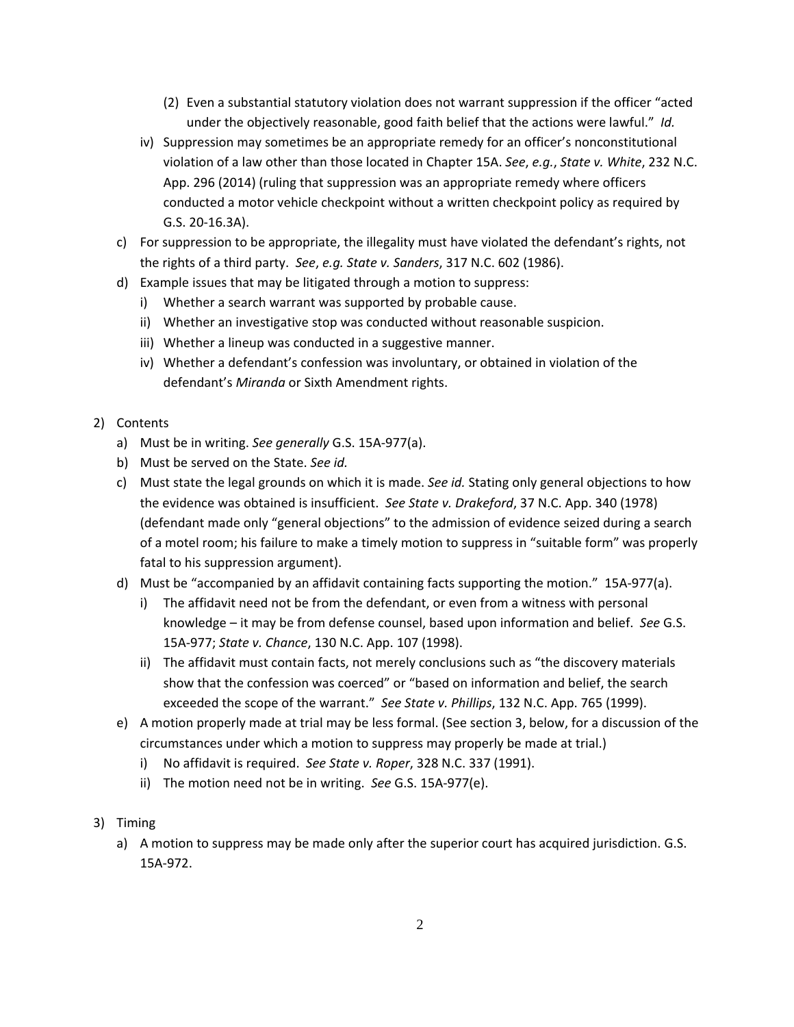- (2) Even a substantial statutory violation does not warrant suppression if the officer "acted under the objectively reasonable, good faith belief that the actions were lawful." *Id.*
- iv) Suppression may sometimes be an appropriate remedy for an officer's nonconstitutional violation of a law other than those located in Chapter 15A. *See*, *e.g.*, *State v. White*, 232 N.C. App. 296 (2014) (ruling that suppression was an appropriate remedy where officers conducted a motor vehicle checkpoint without a written checkpoint policy as required by G.S. 20‐16.3A).
- c) For suppression to be appropriate, the illegality must have violated the defendant's rights, not the rights of a third party. *See*, *e.g. State v. Sanders*, 317 N.C. 602 (1986).
- d) Example issues that may be litigated through a motion to suppress:
	- i) Whether a search warrant was supported by probable cause.
	- ii) Whether an investigative stop was conducted without reasonable suspicion.
	- iii) Whether a lineup was conducted in a suggestive manner.
	- iv) Whether a defendant's confession was involuntary, or obtained in violation of the defendant's *Miranda* or Sixth Amendment rights.
- 2) Contents
	- a) Must be in writing. *See generally* G.S. 15A‐977(a).
	- b) Must be served on the State. *See id.*
	- c) Must state the legal grounds on which it is made. *See id.* Stating only general objections to how the evidence was obtained is insufficient. *See State v. Drakeford*, 37 N.C. App. 340 (1978) (defendant made only "general objections" to the admission of evidence seized during a search of a motel room; his failure to make a timely motion to suppress in "suitable form" was properly fatal to his suppression argument).
	- d) Must be "accompanied by an affidavit containing facts supporting the motion." 15A‐977(a).
		- i) The affidavit need not be from the defendant, or even from a witness with personal knowledge – it may be from defense counsel, based upon information and belief. *See* G.S. 15A‐977; *State v. Chance*, 130 N.C. App. 107 (1998).
		- ii) The affidavit must contain facts, not merely conclusions such as "the discovery materials show that the confession was coerced" or "based on information and belief, the search exceeded the scope of the warrant." *See State v. Phillips*, 132 N.C. App. 765 (1999).
	- e) A motion properly made at trial may be less formal. (See section 3, below, for a discussion of the circumstances under which a motion to suppress may properly be made at trial.)
		- i) No affidavit is required. *See State v. Roper*, 328 N.C. 337 (1991).
		- ii) The motion need not be in writing. *See* G.S. 15A‐977(e).
- 3) Timing
	- a) A motion to suppress may be made only after the superior court has acquired jurisdiction. G.S. 15A‐972.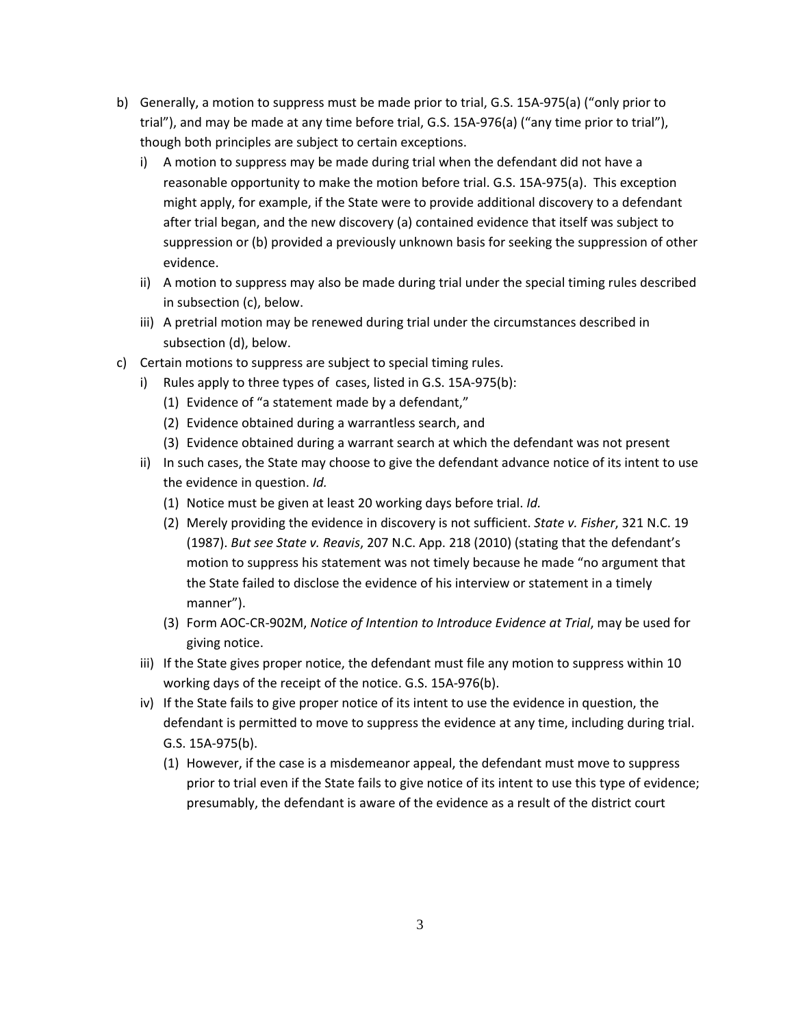- b) Generally, a motion to suppress must be made prior to trial, G.S. 15A‐975(a) ("only prior to trial"), and may be made at any time before trial, G.S. 15A‐976(a) ("any time prior to trial"), though both principles are subject to certain exceptions.
	- i) A motion to suppress may be made during trial when the defendant did not have a reasonable opportunity to make the motion before trial. G.S. 15A‐975(a). This exception might apply, for example, if the State were to provide additional discovery to a defendant after trial began, and the new discovery (a) contained evidence that itself was subject to suppression or (b) provided a previously unknown basis for seeking the suppression of other evidence.
	- ii) A motion to suppress may also be made during trial under the special timing rules described in subsection (c), below.
	- iii) A pretrial motion may be renewed during trial under the circumstances described in subsection (d), below.
- c) Certain motions to suppress are subject to special timing rules.
	- i) Rules apply to three types of cases, listed in G.S. 15A‐975(b):
		- (1) Evidence of "a statement made by a defendant,"
		- (2) Evidence obtained during a warrantless search, and
		- (3) Evidence obtained during a warrant search at which the defendant was not present
	- ii) In such cases, the State may choose to give the defendant advance notice of its intent to use the evidence in question. *Id.*
		- (1) Notice must be given at least 20 working days before trial. *Id.*
		- (2) Merely providing the evidence in discovery is not sufficient. *State v. Fisher*, 321 N.C. 19 (1987). *But see State v. Reavis*, 207 N.C. App. 218 (2010) (stating that the defendant's motion to suppress his statement was not timely because he made "no argument that the State failed to disclose the evidence of his interview or statement in a timely manner").
		- (3) Form AOC‐CR‐902M, *Notice of Intention to Introduce Evidence at Trial*, may be used for giving notice.
	- iii) If the State gives proper notice, the defendant must file any motion to suppress within 10 working days of the receipt of the notice. G.S. 15A‐976(b).
	- iv) If the State fails to give proper notice of its intent to use the evidence in question, the defendant is permitted to move to suppress the evidence at any time, including during trial. G.S. 15A‐975(b).
		- (1) However, if the case is a misdemeanor appeal, the defendant must move to suppress prior to trial even if the State fails to give notice of its intent to use this type of evidence; presumably, the defendant is aware of the evidence as a result of the district court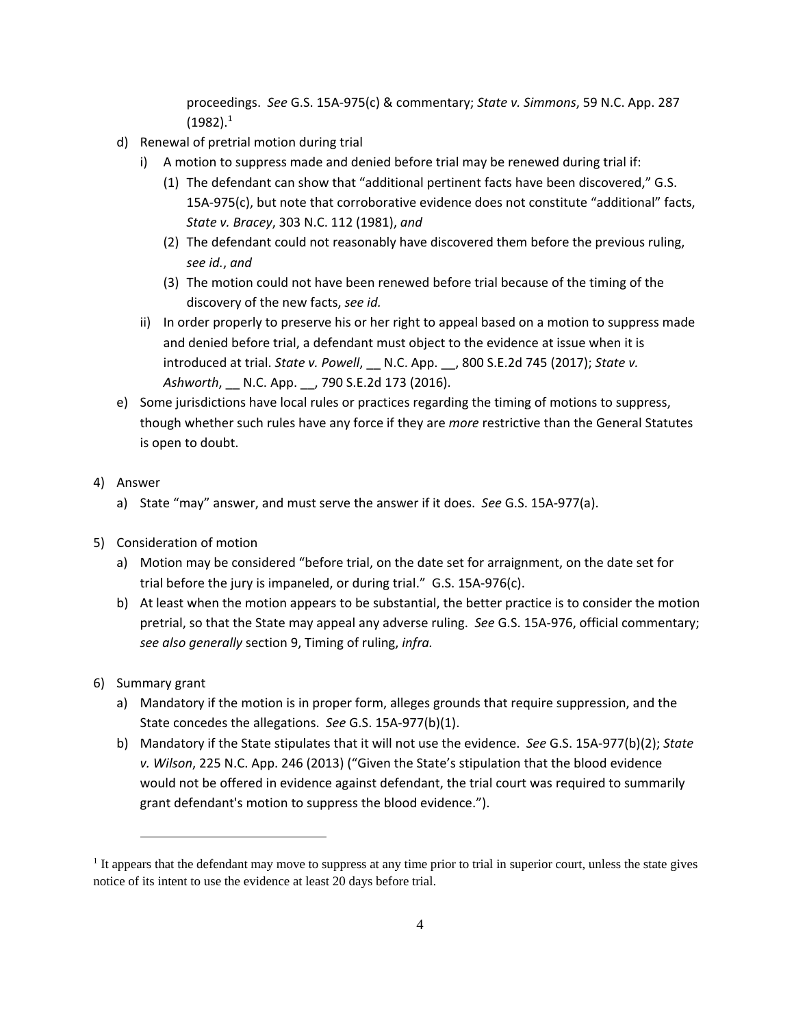proceedings. *See* G.S. 15A‐975(c) & commentary; *State v. Simmons*, 59 N.C. App. 287  $(1982).<sup>1</sup>$ 

- d) Renewal of pretrial motion during trial
	- i) A motion to suppress made and denied before trial may be renewed during trial if:
		- (1) The defendant can show that "additional pertinent facts have been discovered," G.S. 15A‐975(c), but note that corroborative evidence does not constitute "additional" facts, *State v. Bracey*, 303 N.C. 112 (1981), *and*
		- (2) The defendant could not reasonably have discovered them before the previous ruling, *see id.*, *and*
		- (3) The motion could not have been renewed before trial because of the timing of the discovery of the new facts, *see id.*
	- ii) In order properly to preserve his or her right to appeal based on a motion to suppress made and denied before trial, a defendant must object to the evidence at issue when it is introduced at trial. *State v. Powell*, \_\_ N.C. App. \_\_, 800 S.E.2d 745 (2017); *State v. Ashworth*, \_\_ N.C. App. \_\_, 790 S.E.2d 173 (2016).
- e) Some jurisdictions have local rules or practices regarding the timing of motions to suppress, though whether such rules have any force if they are *more* restrictive than the General Statutes is open to doubt.
- 4) Answer
	- a) State "may" answer, and must serve the answer if it does. *See* G.S. 15A‐977(a).
- 5) Consideration of motion
	- a) Motion may be considered "before trial, on the date set for arraignment, on the date set for trial before the jury is impaneled, or during trial." G.S. 15A‐976(c).
	- b) At least when the motion appears to be substantial, the better practice is to consider the motion pretrial, so that the State may appeal any adverse ruling. *See* G.S. 15A‐976, official commentary; *see also generally* section 9, Timing of ruling, *infra.*
- 6) Summary grant

1

- a) Mandatory if the motion is in proper form, alleges grounds that require suppression, and the State concedes the allegations. *See* G.S. 15A‐977(b)(1).
- b) Mandatory if the State stipulates that it will not use the evidence. *See* G.S. 15A‐977(b)(2); *State v. Wilson*, 225 N.C. App. 246 (2013) ("Given the State's stipulation that the blood evidence would not be offered in evidence against defendant, the trial court was required to summarily grant defendant's motion to suppress the blood evidence.").

<sup>&</sup>lt;sup>1</sup> It appears that the defendant may move to suppress at any time prior to trial in superior court, unless the state gives notice of its intent to use the evidence at least 20 days before trial.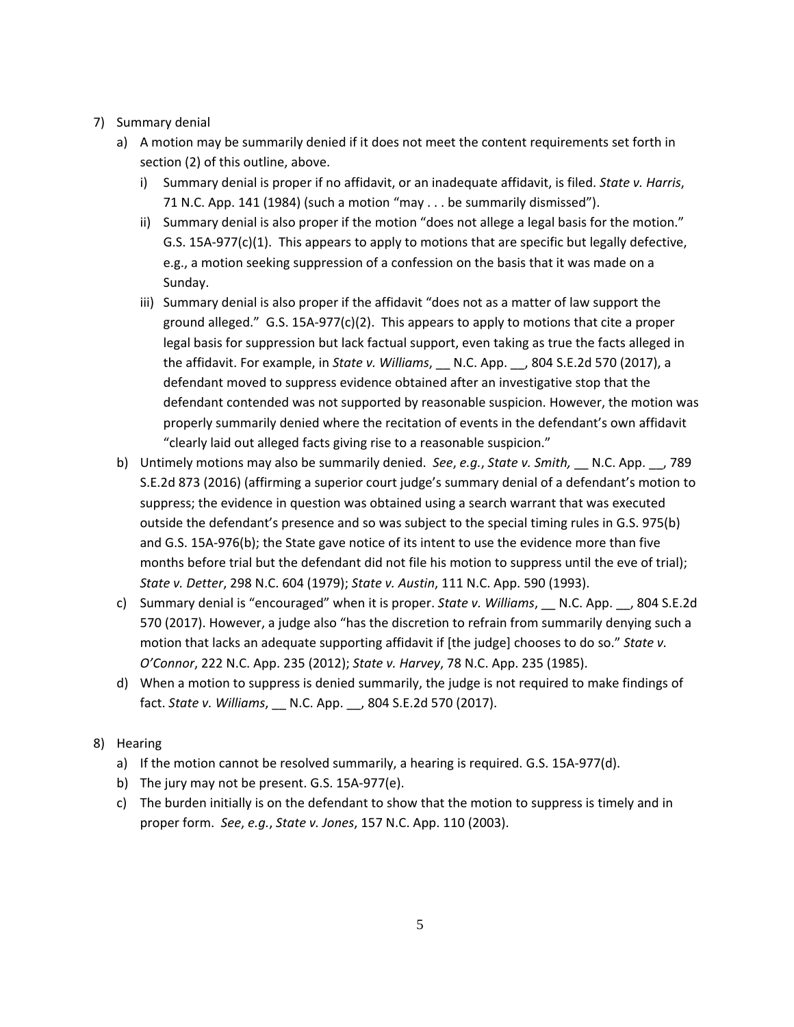- 7) Summary denial
	- a) A motion may be summarily denied if it does not meet the content requirements set forth in section (2) of this outline, above.
		- i) Summary denial is proper if no affidavit, or an inadequate affidavit, is filed. *State v. Harris*, 71 N.C. App. 141 (1984) (such a motion "may . . . be summarily dismissed").
		- ii) Summary denial is also proper if the motion "does not allege a legal basis for the motion." G.S. 15A‐977(c)(1). This appears to apply to motions that are specific but legally defective, e.g., a motion seeking suppression of a confession on the basis that it was made on a Sunday.
		- iii) Summary denial is also proper if the affidavit "does not as a matter of law support the ground alleged."  $G.S. 15A-977(c)(2)$ . This appears to apply to motions that cite a proper legal basis for suppression but lack factual support, even taking as true the facts alleged in the affidavit. For example, in *State v. Williams*, \_\_ N.C. App. \_\_, 804 S.E.2d 570 (2017), a defendant moved to suppress evidence obtained after an investigative stop that the defendant contended was not supported by reasonable suspicion. However, the motion was properly summarily denied where the recitation of events in the defendant's own affidavit "clearly laid out alleged facts giving rise to a reasonable suspicion."
	- b) Untimely motions may also be summarily denied. *See*, *e.g.*, *State v. Smith,* \_\_ N.C. App. \_\_, 789 S.E.2d 873 (2016) (affirming a superior court judge's summary denial of a defendant's motion to suppress; the evidence in question was obtained using a search warrant that was executed outside the defendant's presence and so was subject to the special timing rules in G.S. 975(b) and G.S. 15A‐976(b); the State gave notice of its intent to use the evidence more than five months before trial but the defendant did not file his motion to suppress until the eve of trial); *State v. Detter*, 298 N.C. 604 (1979); *State v. Austin*, 111 N.C. App. 590 (1993).
	- c) Summary denial is "encouraged" when it is proper. *State v. Williams*, \_\_ N.C. App. \_\_, 804 S.E.2d 570 (2017). However, a judge also "has the discretion to refrain from summarily denying such a motion that lacks an adequate supporting affidavit if [the judge] chooses to do so." *State v. O'Connor*, 222 N.C. App. 235 (2012); *State v. Harvey*, 78 N.C. App. 235 (1985).
	- d) When a motion to suppress is denied summarily, the judge is not required to make findings of fact. *State v. Williams*, \_\_ N.C. App. \_\_, 804 S.E.2d 570 (2017).
- 8) Hearing
	- a) If the motion cannot be resolved summarily, a hearing is required. G.S. 15A‐977(d).
	- b) The jury may not be present. G.S. 15A‐977(e).
	- c) The burden initially is on the defendant to show that the motion to suppress is timely and in proper form. *See*, *e.g.*, *State v. Jones*, 157 N.C. App. 110 (2003).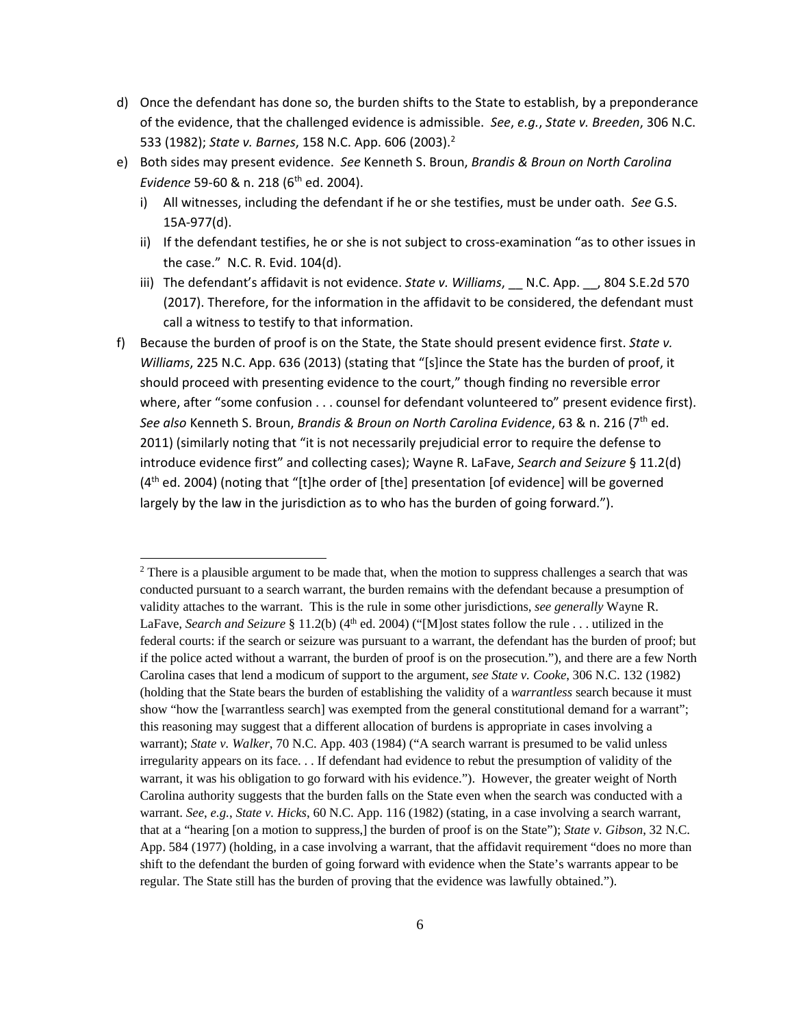- d) Once the defendant has done so, the burden shifts to the State to establish, by a preponderance of the evidence, that the challenged evidence is admissible. *See*, *e.g.*, *State v. Breeden*, 306 N.C. 533 (1982); *State v. Barnes*, 158 N.C. App. 606 (2003).2
- e) Both sides may present evidence. *See* Kenneth S. Broun, *Brandis & Broun on North Carolina Evidence* 59-60 & n. 218 (6<sup>th</sup> ed. 2004).
	- i) All witnesses, including the defendant if he or she testifies, must be under oath. *See* G.S. 15A‐977(d).
	- ii) If the defendant testifies, he or she is not subject to cross-examination "as to other issues in the case." N.C. R. Evid. 104(d).
	- iii) The defendant's affidavit is not evidence. *State v. Williams*, \_\_ N.C. App. \_\_, 804 S.E.2d 570 (2017). Therefore, for the information in the affidavit to be considered, the defendant must call a witness to testify to that information.
- f) Because the burden of proof is on the State, the State should present evidence first. *State v. Williams*, 225 N.C. App. 636 (2013) (stating that "[s]ince the State has the burden of proof, it should proceed with presenting evidence to the court," though finding no reversible error where, after "some confusion . . . counsel for defendant volunteered to" present evidence first). *See also* Kenneth S. Broun, *Brandis & Broun on North Carolina Evidence*, 63 & n. 216 (7th ed. 2011) (similarly noting that "it is not necessarily prejudicial error to require the defense to introduce evidence first" and collecting cases); Wayne R. LaFave, *Search and Seizure* § 11.2(d)  $(4<sup>th</sup>$  ed. 2004) (noting that "[t]he order of [the] presentation [of evidence] will be governed largely by the law in the jurisdiction as to who has the burden of going forward.").

1

<sup>&</sup>lt;sup>2</sup> There is a plausible argument to be made that, when the motion to suppress challenges a search that was conducted pursuant to a search warrant, the burden remains with the defendant because a presumption of validity attaches to the warrant. This is the rule in some other jurisdictions, *see generally* Wayne R. LaFave, *Search and Seizure* § 11.2(b) (4th ed. 2004) ("[M]ost states follow the rule . . . utilized in the federal courts: if the search or seizure was pursuant to a warrant, the defendant has the burden of proof; but if the police acted without a warrant, the burden of proof is on the prosecution."), and there are a few North Carolina cases that lend a modicum of support to the argument, *see State v. Cooke*, 306 N.C. 132 (1982) (holding that the State bears the burden of establishing the validity of a *warrantless* search because it must show "how the [warrantless search] was exempted from the general constitutional demand for a warrant"; this reasoning may suggest that a different allocation of burdens is appropriate in cases involving a warrant); *State v. Walker*, 70 N.C. App. 403 (1984) ("A search warrant is presumed to be valid unless irregularity appears on its face. . . If defendant had evidence to rebut the presumption of validity of the warrant, it was his obligation to go forward with his evidence."). However, the greater weight of North Carolina authority suggests that the burden falls on the State even when the search was conducted with a warrant. *See*, *e.g.*, *State v. Hicks*, 60 N.C. App. 116 (1982) (stating, in a case involving a search warrant, that at a "hearing [on a motion to suppress,] the burden of proof is on the State"); *State v. Gibson*, 32 N.C. App. 584 (1977) (holding, in a case involving a warrant, that the affidavit requirement "does no more than shift to the defendant the burden of going forward with evidence when the State's warrants appear to be regular. The State still has the burden of proving that the evidence was lawfully obtained.").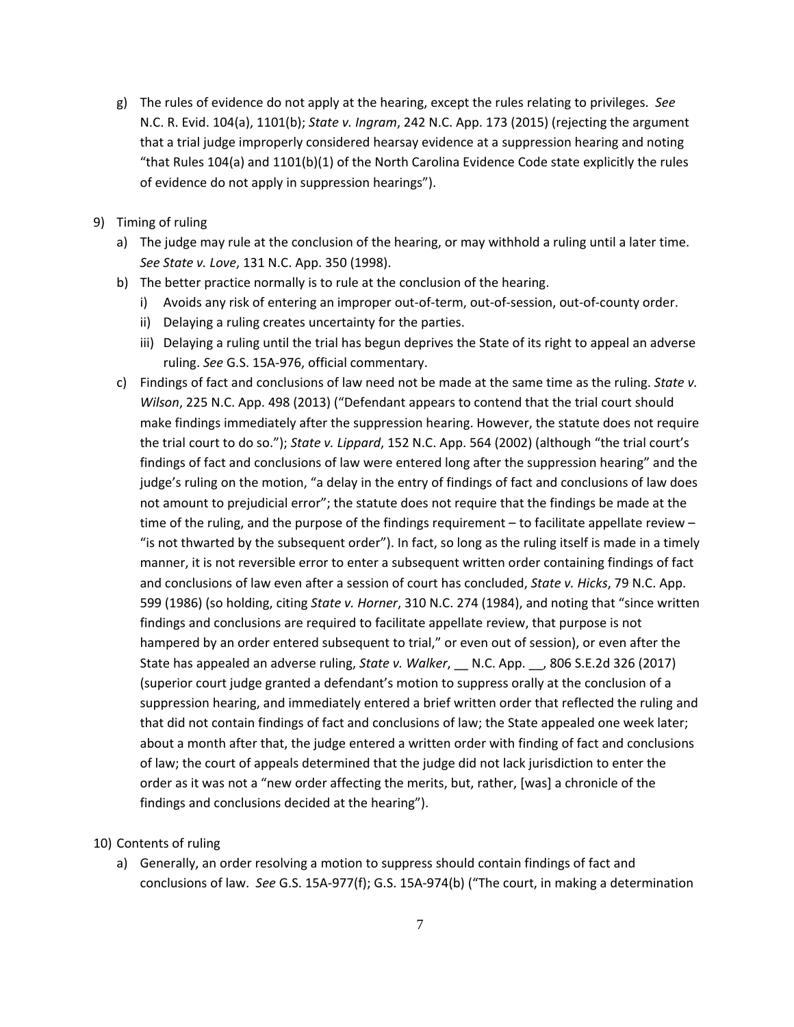- g) The rules of evidence do not apply at the hearing, except the rules relating to privileges. *See* N.C. R. Evid. 104(a), 1101(b); *State v. Ingram*, 242 N.C. App. 173 (2015) (rejecting the argument that a trial judge improperly considered hearsay evidence at a suppression hearing and noting "that Rules 104(a) and 1101(b)(1) of the North Carolina Evidence Code state explicitly the rules of evidence do not apply in suppression hearings").
- 9) Timing of ruling
	- a) The judge may rule at the conclusion of the hearing, or may withhold a ruling until a later time. *See State v. Love*, 131 N.C. App. 350 (1998).
	- b) The better practice normally is to rule at the conclusion of the hearing.
		- i) Avoids any risk of entering an improper out‐of‐term, out‐of‐session, out‐of‐county order.
		- ii) Delaying a ruling creates uncertainty for the parties.
		- iii) Delaying a ruling until the trial has begun deprives the State of its right to appeal an adverse ruling. *See* G.S. 15A‐976, official commentary.
	- c) Findings of fact and conclusions of law need not be made at the same time as the ruling. *State v. Wilson*, 225 N.C. App. 498 (2013) ("Defendant appears to contend that the trial court should make findings immediately after the suppression hearing. However, the statute does not require the trial court to do so."); *State v. Lippard*, 152 N.C. App. 564 (2002) (although "the trial court's findings of fact and conclusions of law were entered long after the suppression hearing" and the judge's ruling on the motion, "a delay in the entry of findings of fact and conclusions of law does not amount to prejudicial error"; the statute does not require that the findings be made at the time of the ruling, and the purpose of the findings requirement – to facilitate appellate review – "is not thwarted by the subsequent order"). In fact, so long as the ruling itself is made in a timely manner, it is not reversible error to enter a subsequent written order containing findings of fact and conclusions of law even after a session of court has concluded, *State v. Hicks*, 79 N.C. App. 599 (1986) (so holding, citing *State v. Horner*, 310 N.C. 274 (1984), and noting that "since written findings and conclusions are required to facilitate appellate review, that purpose is not hampered by an order entered subsequent to trial," or even out of session), or even after the State has appealed an adverse ruling, *State v. Walker*, \_\_ N.C. App. \_\_, 806 S.E.2d 326 (2017) (superior court judge granted a defendant's motion to suppress orally at the conclusion of a suppression hearing, and immediately entered a brief written order that reflected the ruling and that did not contain findings of fact and conclusions of law; the State appealed one week later; about a month after that, the judge entered a written order with finding of fact and conclusions of law; the court of appeals determined that the judge did not lack jurisdiction to enter the order as it was not a "new order affecting the merits, but, rather, [was] a chronicle of the findings and conclusions decided at the hearing").

10) Contents of ruling

a) Generally, an order resolving a motion to suppress should contain findings of fact and conclusions of law. *See* G.S. 15A‐977(f); G.S. 15A‐974(b) ("The court, in making a determination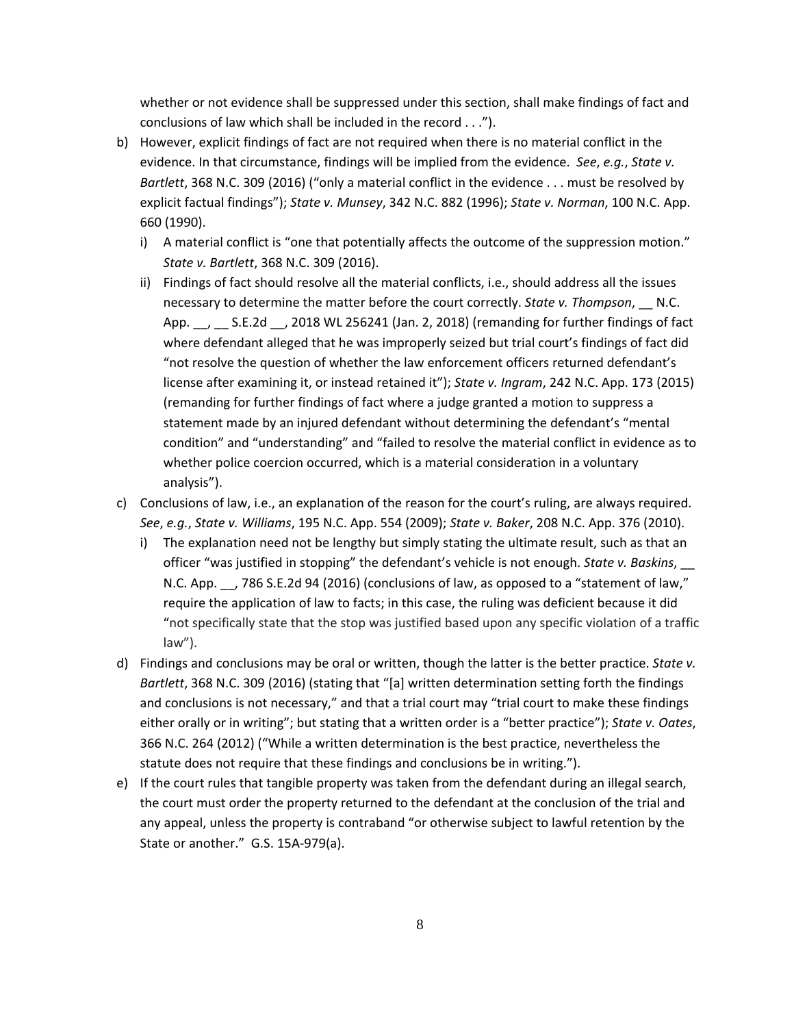whether or not evidence shall be suppressed under this section, shall make findings of fact and conclusions of law which shall be included in the record . . .").

- b) However, explicit findings of fact are not required when there is no material conflict in the evidence. In that circumstance, findings will be implied from the evidence. *See*, *e.g.*, *State v. Bartlett*, 368 N.C. 309 (2016) ("only a material conflict in the evidence . . . must be resolved by explicit factual findings"); *State v. Munsey*, 342 N.C. 882 (1996); *State v. Norman*, 100 N.C. App. 660 (1990).
	- i) A material conflict is "one that potentially affects the outcome of the suppression motion." *State v. Bartlett*, 368 N.C. 309 (2016).
	- ii) Findings of fact should resolve all the material conflicts, i.e., should address all the issues necessary to determine the matter before the court correctly. *State v. Thompson*, \_\_ N.C. App. , S.E.2d , 2018 WL 256241 (Jan. 2, 2018) (remanding for further findings of fact where defendant alleged that he was improperly seized but trial court's findings of fact did "not resolve the question of whether the law enforcement officers returned defendant's license after examining it, or instead retained it"); *State v. Ingram*, 242 N.C. App. 173 (2015) (remanding for further findings of fact where a judge granted a motion to suppress a statement made by an injured defendant without determining the defendant's "mental condition" and "understanding" and "failed to resolve the material conflict in evidence as to whether police coercion occurred, which is a material consideration in a voluntary analysis").
- c) Conclusions of law, i.e., an explanation of the reason for the court's ruling, are always required. *See*, *e.g.*, *State v. Williams*, 195 N.C. App. 554 (2009); *State v. Baker*, 208 N.C. App. 376 (2010).
	- i) The explanation need not be lengthy but simply stating the ultimate result, such as that an officer "was justified in stopping" the defendant's vehicle is not enough. *State v. Baskins*, \_\_ N.C. App. \_\_, 786 S.E.2d 94 (2016) (conclusions of law, as opposed to a "statement of law," require the application of law to facts; in this case, the ruling was deficient because it did "not specifically state that the stop was justified based upon any specific violation of a traffic law").
- d) Findings and conclusions may be oral or written, though the latter is the better practice. *State v. Bartlett*, 368 N.C. 309 (2016) (stating that "[a] written determination setting forth the findings and conclusions is not necessary," and that a trial court may "trial court to make these findings either orally or in writing"; but stating that a written order is a "better practice"); *State v. Oates*, 366 N.C. 264 (2012) ("While a written determination is the best practice, nevertheless the statute does not require that these findings and conclusions be in writing.").
- e) If the court rules that tangible property was taken from the defendant during an illegal search, the court must order the property returned to the defendant at the conclusion of the trial and any appeal, unless the property is contraband "or otherwise subject to lawful retention by the State or another." G.S. 15A-979(a).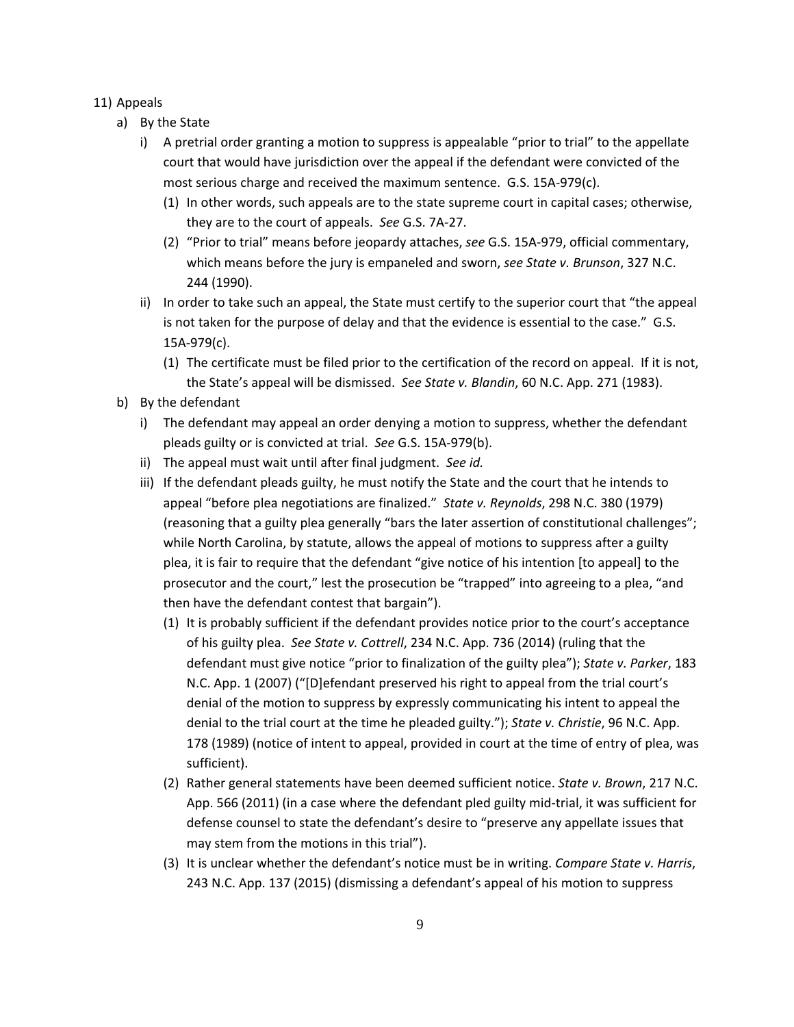#### 11) Appeals

- a) By the State
	- i) A pretrial order granting a motion to suppress is appealable "prior to trial" to the appellate court that would have jurisdiction over the appeal if the defendant were convicted of the most serious charge and received the maximum sentence. G.S. 15A‐979(c).
		- (1) In other words, such appeals are to the state supreme court in capital cases; otherwise, they are to the court of appeals. *See* G.S. 7A‐27.
		- (2) "Prior to trial" means before jeopardy attaches, *see* G.S. 15A‐979, official commentary, which means before the jury is empaneled and sworn, *see State v. Brunson*, 327 N.C. 244 (1990).
	- ii) In order to take such an appeal, the State must certify to the superior court that "the appeal is not taken for the purpose of delay and that the evidence is essential to the case." G.S. 15A‐979(c).
		- (1) The certificate must be filed prior to the certification of the record on appeal. If it is not, the State's appeal will be dismissed. *See State v. Blandin*, 60 N.C. App. 271 (1983).
- b) By the defendant
	- i) The defendant may appeal an order denying a motion to suppress, whether the defendant pleads guilty or is convicted at trial. *See* G.S. 15A‐979(b).
	- ii) The appeal must wait until after final judgment. *See id.*
	- iii) If the defendant pleads guilty, he must notify the State and the court that he intends to appeal "before plea negotiations are finalized." *State v. Reynolds*, 298 N.C. 380 (1979) (reasoning that a guilty plea generally "bars the later assertion of constitutional challenges"; while North Carolina, by statute, allows the appeal of motions to suppress after a guilty plea, it is fair to require that the defendant "give notice of his intention [to appeal] to the prosecutor and the court," lest the prosecution be "trapped" into agreeing to a plea, "and then have the defendant contest that bargain").
		- (1) It is probably sufficient if the defendant provides notice prior to the court's acceptance of his guilty plea. *See State v. Cottrell*, 234 N.C. App. 736 (2014) (ruling that the defendant must give notice "prior to finalization of the guilty plea"); *State v. Parker*, 183 N.C. App. 1 (2007) ("[D]efendant preserved his right to appeal from the trial court's denial of the motion to suppress by expressly communicating his intent to appeal the denial to the trial court at the time he pleaded guilty."); *State v. Christie*, 96 N.C. App. 178 (1989) (notice of intent to appeal, provided in court at the time of entry of plea, was sufficient).
		- (2) Rather general statements have been deemed sufficient notice. *State v. Brown*, 217 N.C. App. 566 (2011) (in a case where the defendant pled guilty mid‐trial, it was sufficient for defense counsel to state the defendant's desire to "preserve any appellate issues that may stem from the motions in this trial").
		- (3) It is unclear whether the defendant's notice must be in writing. *Compare State v. Harris*, 243 N.C. App. 137 (2015) (dismissing a defendant's appeal of his motion to suppress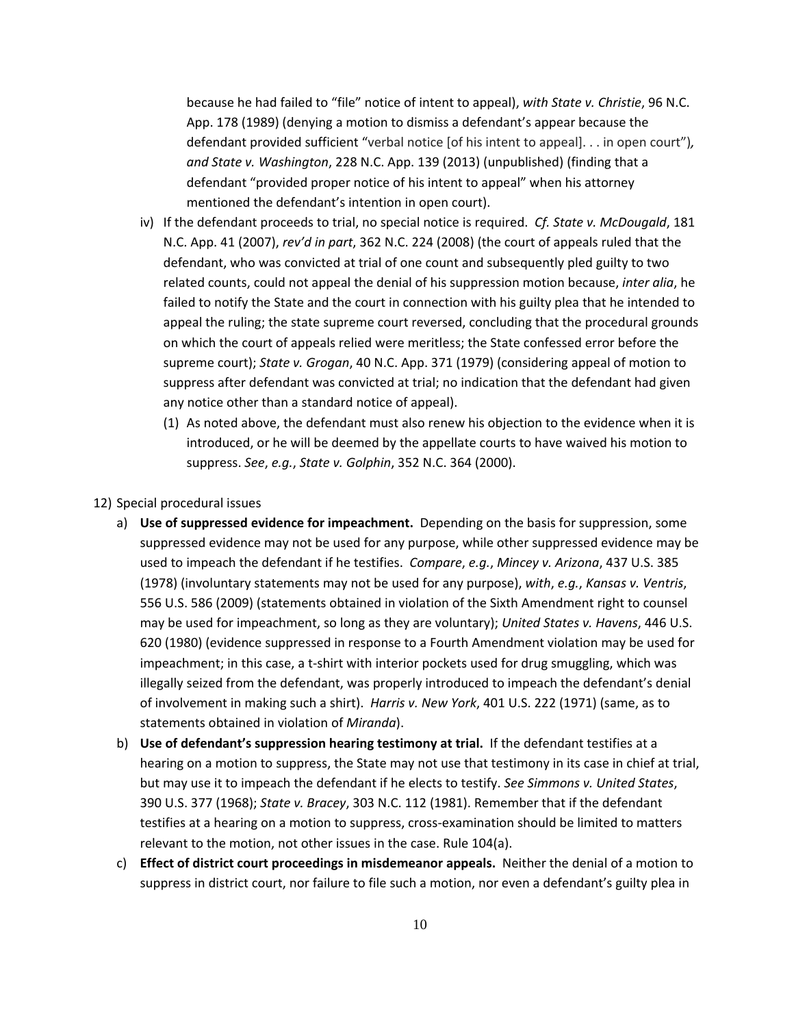because he had failed to "file" notice of intent to appeal), *with State v. Christie*, 96 N.C. App. 178 (1989) (denying a motion to dismiss a defendant's appear because the defendant provided sufficient "verbal notice [of his intent to appeal]. . . in open court")*, and State v. Washington*, 228 N.C. App. 139 (2013) (unpublished) (finding that a defendant "provided proper notice of his intent to appeal" when his attorney mentioned the defendant's intention in open court).

- iv) If the defendant proceeds to trial, no special notice is required. *Cf. State v. McDougald*, 181 N.C. App. 41 (2007), *rev'd in part*, 362 N.C. 224 (2008) (the court of appeals ruled that the defendant, who was convicted at trial of one count and subsequently pled guilty to two related counts, could not appeal the denial of his suppression motion because, *inter alia*, he failed to notify the State and the court in connection with his guilty plea that he intended to appeal the ruling; the state supreme court reversed, concluding that the procedural grounds on which the court of appeals relied were meritless; the State confessed error before the supreme court); *State v. Grogan*, 40 N.C. App. 371 (1979) (considering appeal of motion to suppress after defendant was convicted at trial; no indication that the defendant had given any notice other than a standard notice of appeal).
	- (1) As noted above, the defendant must also renew his objection to the evidence when it is introduced, or he will be deemed by the appellate courts to have waived his motion to suppress. *See*, *e.g.*, *State v. Golphin*, 352 N.C. 364 (2000).

#### 12) Special procedural issues

- a) **Use of suppressed evidence for impeachment.** Depending on the basis for suppression, some suppressed evidence may not be used for any purpose, while other suppressed evidence may be used to impeach the defendant if he testifies. *Compare*, *e.g.*, *Mincey v. Arizona*, 437 U.S. 385 (1978) (involuntary statements may not be used for any purpose), *with*, *e.g.*, *Kansas v. Ventris*, 556 U.S. 586 (2009) (statements obtained in violation of the Sixth Amendment right to counsel may be used for impeachment, so long as they are voluntary); *United States v. Havens*, 446 U.S. 620 (1980) (evidence suppressed in response to a Fourth Amendment violation may be used for impeachment; in this case, a t-shirt with interior pockets used for drug smuggling, which was illegally seized from the defendant, was properly introduced to impeach the defendant's denial of involvement in making such a shirt). *Harris v. New York*, 401 U.S. 222 (1971) (same, as to statements obtained in violation of *Miranda*).
- b) **Use of defendant's suppression hearing testimony at trial.** If the defendant testifies at a hearing on a motion to suppress, the State may not use that testimony in its case in chief at trial, but may use it to impeach the defendant if he elects to testify. *See Simmons v. United States*, 390 U.S. 377 (1968); *State v. Bracey*, 303 N.C. 112 (1981). Remember that if the defendant testifies at a hearing on a motion to suppress, cross‐examination should be limited to matters relevant to the motion, not other issues in the case. Rule 104(a).
- c) **Effect of district court proceedings in misdemeanor appeals.** Neither the denial of a motion to suppress in district court, nor failure to file such a motion, nor even a defendant's guilty plea in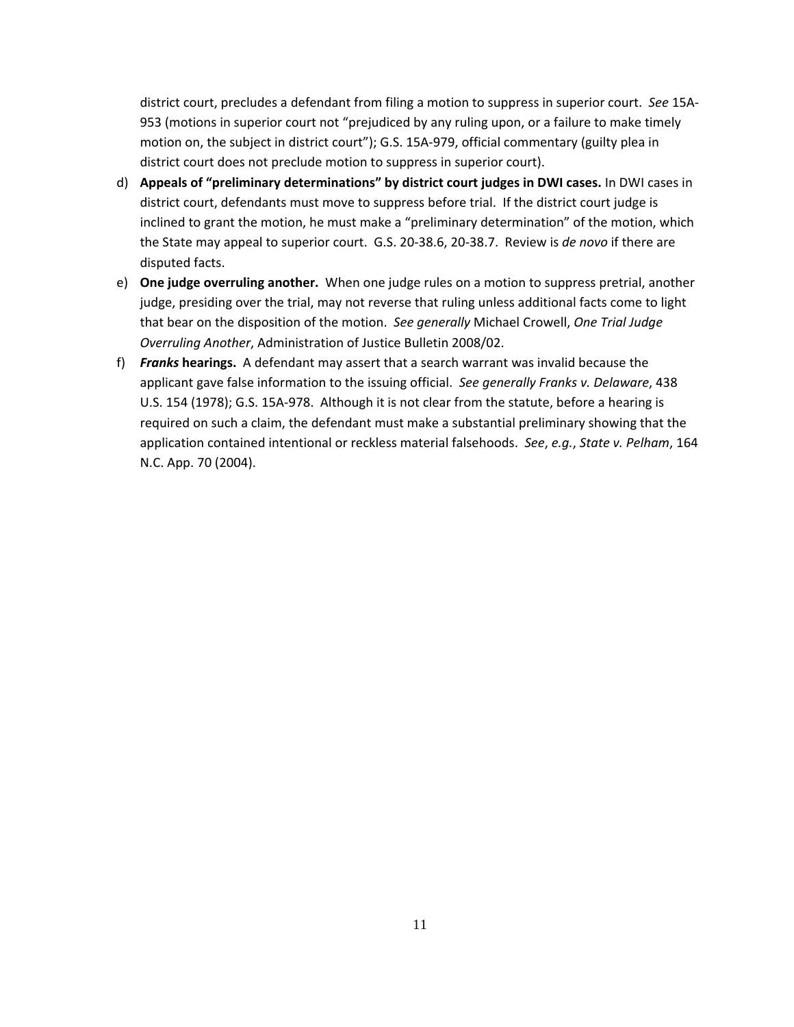district court, precludes a defendant from filing a motion to suppress in superior court. *See* 15A‐ 953 (motions in superior court not "prejudiced by any ruling upon, or a failure to make timely motion on, the subject in district court"); G.S. 15A-979, official commentary (guilty plea in district court does not preclude motion to suppress in superior court).

- d) **Appeals of "preliminary determinations" by district court judges in DWI cases.** In DWI cases in district court, defendants must move to suppress before trial. If the district court judge is inclined to grant the motion, he must make a "preliminary determination" of the motion, which the State may appeal to superior court. G.S. 20‐38.6, 20‐38.7. Review is *de novo* if there are disputed facts.
- e) **One judge overruling another.** When one judge rules on a motion to suppress pretrial, another judge, presiding over the trial, may not reverse that ruling unless additional facts come to light that bear on the disposition of the motion. *See generally* Michael Crowell, *One Trial Judge Overruling Another*, Administration of Justice Bulletin 2008/02.
- f) *Franks* **hearings.** A defendant may assert that a search warrant was invalid because the applicant gave false information to the issuing official. *See generally Franks v. Delaware*, 438 U.S. 154 (1978); G.S. 15A‐978. Although it is not clear from the statute, before a hearing is required on such a claim, the defendant must make a substantial preliminary showing that the application contained intentional or reckless material falsehoods. *See*, *e.g.*, *State v. Pelham*, 164 N.C. App. 70 (2004).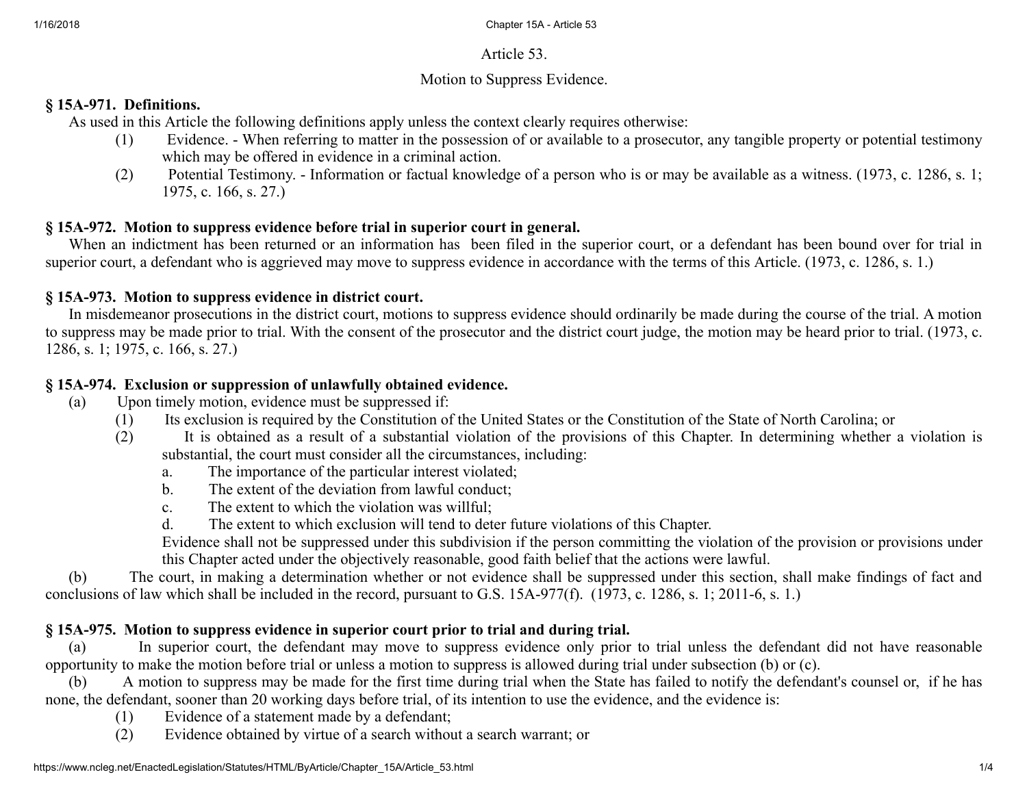#### Article 53.

#### Motion to Suppress Evidence.

#### § 15A-971. Definitions.

As used in this Article the following definitions apply unless the context clearly requires otherwise:

- (1) Evidence. When referring to matter in the possession of or available to a prosecutor, any tangible property or potential testimony which may be offered in evidence in a criminal action.
- (2) Potential Testimony. Information or factual knowledge of a person who is or may be available as a witness. (1973, c. 1286, s. 1; 1975, c. 166, s. 27.)

#### § 15A-972. Motion to suppress evidence before trial in superior court in general.

When an indictment has been returned or an information has been filed in the superior court, or a defendant has been bound over for trial in superior court, a defendant who is aggrieved may move to suppress evidence in accordance with the terms of this Article. (1973, c. 1286, s. 1.)

#### § 15A-973. Motion to suppress evidence in district court.

In misdemeanor prosecutions in the district court, motions to suppress evidence should ordinarily be made during the course of the trial. A motion to suppress may be made prior to trial. With the consent of the prosecutor and the district court judge, the motion may be heard prior to trial. (1973, c. 1286, s. 1; 1975, c. 166, s. 27.)

#### § 15A-974. Exclusion or suppression of unlawfully obtained evidence.

- (a) Upon timely motion, evidence must be suppressed if:
	- (1) Its exclusion is required by the Constitution of the United States or the Constitution of the State of North Carolina; or
	- (2) It is obtained as a result of a substantial violation of the provisions of this Chapter. In determining whether a violation is substantial, the court must consider all the circumstances, including:
		- a. The importance of the particular interest violated;
		- b. The extent of the deviation from lawful conduct;
		- c. The extent to which the violation was willful;
		- d. The extent to which exclusion will tend to deter future violations of this Chapter.

Evidence shall not be suppressed under this subdivision if the person committing the violation of the provision or provisions under this Chapter acted under the objectively reasonable, good faith belief that the actions were lawful.

(b) The court, in making a determination whether or not evidence shall be suppressed under this section, shall make findings of fact and conclusions of law which shall be included in the record, pursuant to G.S. 15A-977(f). (1973, c. 1286, s. 1; 2011-6, s. 1.)

## § 15A-975. Motion to suppress evidence in superior court prior to trial and during trial.

(a) In superior court, the defendant may move to suppress evidence only prior to trial unless the defendant did not have reasonable opportunity to make the motion before trial or unless a motion to suppress is allowed during trial under subsection (b) or (c).

(b) A motion to suppress may be made for the first time during trial when the State has failed to notify the defendant's counsel or, if he has none, the defendant, sooner than 20 working days before trial, of its intention to use the evidence, and the evidence is:

- (1) Evidence of a statement made by a defendant;
- (2) Evidence obtained by virtue of a search without a search warrant; or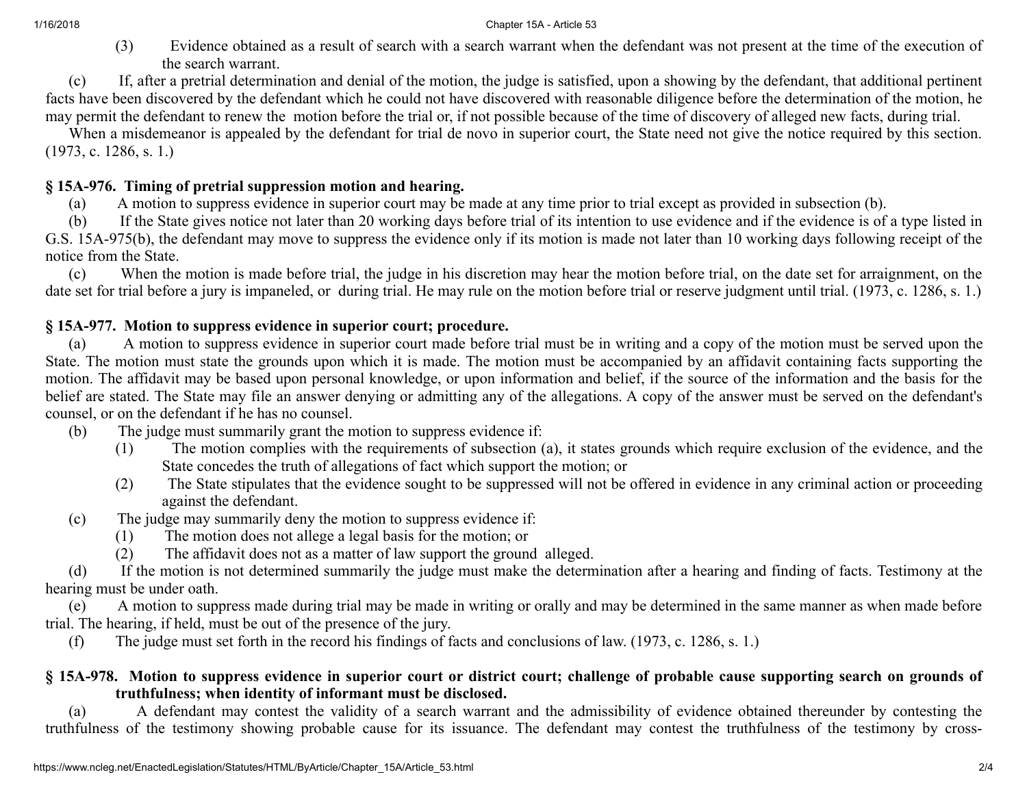#### 1/16/2018 Chapter 15A - Article 53

(3) Evidence obtained as a result of search with a search warrant when the defendant was not present at the time of the execution of the search warrant.

(c) If, after a pretrial determination and denial of the motion, the judge is satisfied, upon a showing by the defendant, that additional pertinent facts have been discovered by the defendant which he could not have discovered with reasonable diligence before the determination of the motion, he may permit the defendant to renew the motion before the trial or, if not possible because of the time of discovery of alleged new facts, during trial.

When a misdemeanor is appealed by the defendant for trial de novo in superior court, the State need not give the notice required by this section. (1973, c. 1286, s. 1.)

#### § 15A-976. Timing of pretrial suppression motion and hearing.

(a) A motion to suppress evidence in superior court may be made at any time prior to trial except as provided in subsection (b).

(b) If the State gives notice not later than 20 working days before trial of its intention to use evidence and if the evidence is of a type listed in G.S. 15A-975(b), the defendant may move to suppress the evidence only if its motion is made not later than 10 working days following receipt of the notice from the State.

(c) When the motion is made before trial, the judge in his discretion may hear the motion before trial, on the date set for arraignment, on the date set for trial before a jury is impaneled, or during trial. He may rule on the motion before trial or reserve judgment until trial. (1973, c. 1286, s. 1.)

#### § 15A-977. Motion to suppress evidence in superior court; procedure.

(a) A motion to suppress evidence in superior court made before trial must be in writing and a copy of the motion must be served upon the State. The motion must state the grounds upon which it is made. The motion must be accompanied by an affidavit containing facts supporting the motion. The affidavit may be based upon personal knowledge, or upon information and belief, if the source of the information and the basis for the belief are stated. The State may file an answer denying or admitting any of the allegations. A copy of the answer must be served on the defendant's counsel, or on the defendant if he has no counsel.

- (b) The judge must summarily grant the motion to suppress evidence if:
	- (1) The motion complies with the requirements of subsection (a), it states grounds which require exclusion of the evidence, and the State concedes the truth of allegations of fact which support the motion; or
	- (2) The State stipulates that the evidence sought to be suppressed will not be offered in evidence in any criminal action or proceeding against the defendant.
- (c) The judge may summarily deny the motion to suppress evidence if:
	- (1) The motion does not allege a legal basis for the motion; or
	- (2) The affidavit does not as a matter of law support the ground alleged.

(d) If the motion is not determined summarily the judge must make the determination after a hearing and finding of facts. Testimony at the hearing must be under oath.

(e) A motion to suppress made during trial may be made in writing or orally and may be determined in the same manner as when made before trial. The hearing, if held, must be out of the presence of the jury.

(f) The judge must set forth in the record his findings of facts and conclusions of law. (1973, c. 1286, s. 1.)

#### § 15A-978. Motion to suppress evidence in superior court or district court; challenge of probable cause supporting search on grounds of truthfulness; when identity of informant must be disclosed.

(a) A defendant may contest the validity of a search warrant and the admissibility of evidence obtained thereunder by contesting the truthfulness of the testimony showing probable cause for its issuance. The defendant may contest the truthfulness of the testimony by cross-